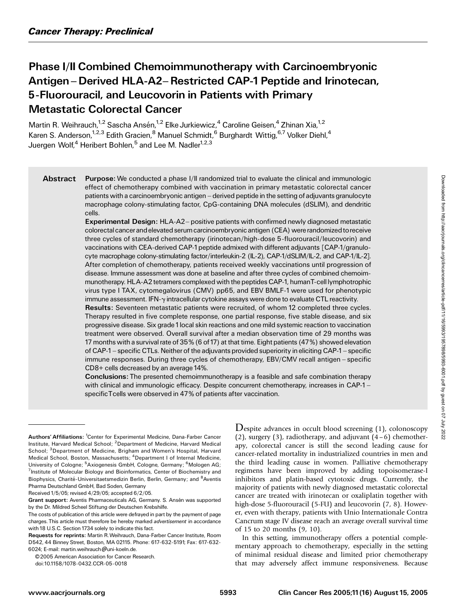# Phase I/II Combined Chemoimmunotherapy with Carcinoembryonic Antigen – Derived HLA-A2– Restricted CAP-1 Peptide and Irinotecan, 5-Fluorouracil, and Leucovorin in Patients with Primary Metastatic Colorectal Cancer

Martin R. Weihrauch,<sup>1,2</sup> Sascha Ansén,<sup>1,2</sup> Elke Jurkiewicz,<sup>4</sup> Caroline Geisen,<sup>4</sup> Zhinan Xia,<sup>1,2</sup> Karen S. Anderson,<sup>1,2,3</sup> Edith Gracien,<sup>8</sup> Manuel Schmidt,<sup>6</sup> Burghardt Wittig,<sup>6,7</sup> Volker Diehl,<sup>4</sup> Juergen Wolf,<sup>4</sup> Heribert Bohlen,<sup>5</sup> and Lee M. Nadler<sup>1,2,3</sup>

Abstract Purpose: We conducted a phase I/II randomized trial to evaluate the clinical and immunologic effect of chemotherapy combined with vaccination in primary metastatic colorectal cancer patients with a carcinoembryonic antigen - derived peptide in the setting of adjuvants granulocyte macrophage colony-stimulating factor, CpG-containing DNA molecules (dSLIM), and dendritic cells.

> Experimental Design: HLA-A2- positive patients with confirmed newly diagnosed metastatic colorectal cancer and elevated serum carcinoembryonic antigen (CEA) were randomized to receive three cycles of standard chemotherapy (irinotecan/high-dose 5-fluorouracil/leucovorin) and vaccinations with CEA-derived CAP-1 peptide admixed with different adjuvants [CAP-1/granulocyte macrophage colony-stimulating factor/interleukin-2 (IL-2), CAP-1/dSLIM/IL-2, and CAP-1/IL-2]. After completion of chemotherapy, patients received weekly vaccinations until progression of disease. Immune assessment was done at baseline and after three cycles of combined chemoimmunotherapy. HLA-A2 tetramers complexed with the peptides CAP-1, humanT-celllymphotrophic virus type I TAX, cytomegalovirus (CMV) pp65, and EBV BMLF-1were used for phenotypic immune assessment. IFN-y intracellular cytokine assays were done to evaluate CTL reactivity.

> Results: Seventeen metastatic patients were recruited, of whom 12 completed three cycles. Therapy resulted in five complete response, one partial response, five stable disease, and six progressive disease. Six grade1local skin reactions and one mild systemic reaction to vaccination treatment were observed. Overall survival after a median observation time of 29 months was 17 months with a survival rate of 35% (6 of17) at that time. Eight patients (47%) showed elevation of CAP-1 - specific CTLs. Neither of the adjuvants provided superiority in eliciting CAP-1 - specific immune responses. During three cycles of chemotherapy, EBV/CMV recall antigen - specific CD8+ cells decreased by an average 14%.

> Conclusions: The presented chemoimmunotherapy is a feasible and safe combination therapy with clinical and immunologic efficacy. Despite concurrent chemotherapy, increases in CAP-1 – specificTcells were observed in 47% of patients after vaccination.

Received 1/5/05; revised 4/29/05; accepted 6/2/05.

© 2005 American Association for Cancer Research.

doi:10.1158/1078-0432.CCR-05-0018

Despite advances in occult blood screening (1), colonoscopy (2), surgery (3), radiotherapy, and adjuvant  $(4-6)$  chemotherapy, colorectal cancer is still the second leading cause for cancer-related mortality in industrialized countries in men and the third leading cause in women. Palliative chemotherapy regimens have been improved by adding topoisomerase-I inhibitors and platin-based cytotoxic drugs. Currently, the majority of patients with newly diagnosed metastatic colorectal cancer are treated with irinotecan or oxaliplatin together with high-dose 5-fluorouracil (5-FU) and leucovorin (7, 8). However, even with therapy, patients with Unio Internationale Contra Cancrum stage IV disease reach an average overall survival time of 15 to 20 months (9, 10).

In this setting, immunotherapy offers a potential complementary approach to chemotherapy, especially in the setting of minimal residual disease and limited prior chemotherapy that may adversely affect immune responsiveness. Because

Authors' Affiliations: <sup>1</sup>Center for Experimental Medicine, Dana-Farber Cancer Institute, Harvard Medical School; <sup>2</sup>Department of Medicine, Harvard Medical School; <sup>3</sup>Department of Medicine, Brigham and Women's Hospital, Harvard Medical School, Boston, Massachusetts; <sup>4</sup>Department I of Internal Medicine, University of Cologne; <sup>5</sup>Axiogenesis GmbH, Cologne, Germany; <sup>6</sup>Mologen AG; <sup>7</sup> Institute of Molecular Biology and Bioinformatics, Center of Biochemistry and Biophysics, Charité-Universitaetsmedizin Berlin, Berlin, Germany; and <sup>8</sup>Aventis Pharma Deutschland GmbH, Bad Soden, Germany

Grant support: Aventis Pharmaceuticals AG, Germany. S. Ansén was supported by the Dr. Mildred Scheel Stiftung der Deutschen Krebshilfe.

The costs of publication of this article were defrayed in part by the payment of page charges. This article must therefore be hereby marked advertisement in accordance with 18 U.S.C. Section 1734 solely to indicate this fact.

Requests for reprints: Martin R.Weihrauch, Dana-Farber Cancer Institute, Room D542, 44 Binney Street, Boston, MA 02115. Phone: 617-632-5191; Fax: 617-632- 6024; E-mail: martin.weihrauch@@uni-koeln.de.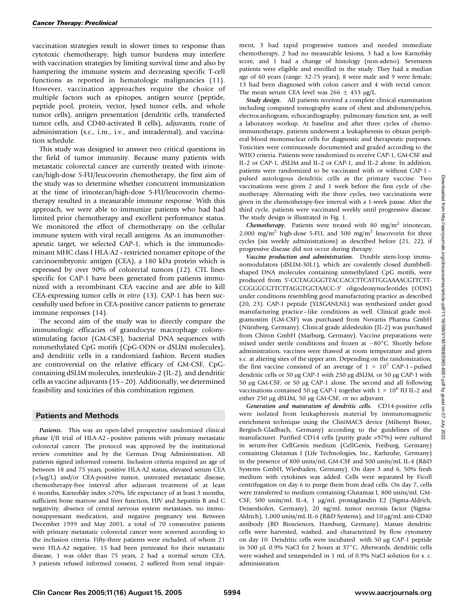vaccination strategies result in slower times to response than cytotoxic chemotherapy, high tumor burdens may interfere with vaccination strategies by limiting survival time and also by hampering the immune system and decreasing specific T-cell functions as reported in hematologic malignancies (11). However, vaccination approaches require the choice of multiple factors such as epitopes, antigen source (peptide, peptide pool, protein, vector, lysed tumor cells, and whole tumor cells), antigen presentation (dendritic cells, transfected tumor cells, and CD40-activated B cells), adjuvants, route of administration (s.c., i.m., i.v., and intradermal), and vaccination schedule.

This study was designed to answer two critical questions in the field of tumor immunity. Because many patients with metastatic colorectal cancer are currently treated with irinotecan/high-dose 5-FU/leucovorin chemotherapy, the first aim of the study was to determine whether concurrent immunization at the time of irinotecan/high-dose 5-FU/leucovorin chemotherapy resulted in a measurable immune response. With this approach, we were able to immunize patients who had had limited prior chemotherapy and excellent performance status. We monitored the effect of chemotherapy on the cellular immune system with viral recall antigens. As an immunotherapeutic target, we selected CAP-1, which is the immunodominant MHC class I HLA-A2–restricted nonamer epitope of the carcinoembryonic antigen (CEA), a 180 kDa protein which is expressed by over 90% of colorectal tumors (12). CTL lines specific for CAP-1 have been generated from patients immunized with a recombinant CEA vaccine and are able to kill CEA-expressing tumor cells in vitro (13). CAP-1 has been successfully used before in CEA-positive cancer patients to generate immune responses (14).

The second aim of the study was to directly compare the immunologic efficacies of granulocyte macrophage colonystimulating factor (GM-CSF), bacterial DNA sequences with nonmethylated CpG motifs (CpG-ODN or dSLIM molecules), and dendritic cells in a randomized fashion. Recent studies are controversial on the relative efficacy of GM-CSF, CpGcontaining dSLIM molecules, interleukin-2 (IL-2), and dendritic cells as vaccine adjuvants (15–20). Additionally, we determined feasibility and toxicities of this combination regimen.

### Patients and Methods

Patients. This was an open-label prospective randomized clinical phase I/II trial of HLA-A2–positive patients with primary metastatic colorectal cancer. The protocol was approved by the institutional review committee and by the German Drug Administration. All patients signed informed consent. Inclusion criteria required an age of between 18 and 75 years, positive HLA-A2 status, elevated serum CEA (>5µg/L) and/or CEA-positive tumor, untreated metastatic disease, chemotherapy-free interval after adjuvant treatment of at least 6 months, Karnofsky index >70%, life expectancy of at least 3 months, sufficient bone marrow and liver function, HIV and hepatitis B and C negativity, absence of central nervous system metastases, no immunosuppressant medication, and negative pregnancy test. Between December 1999 and May 2001, a total of 70 consecutive patients with primary metastatic colorectal cancer were screened according to the inclusion criteria. Fifty-three patients were excluded, of whom 21 were HLA-A2 negative, 15 had been pretreated for their metastatic disease, 1 was older than 75 years, 2 had a normal serum CEA, 3 patients refused informed consent, 2 suffered from renal impairment, 3 had rapid progressive tumors and needed immediate chemotherapy, 2 had no measurable lesions, 3 had a low Karnofsky score, and 1 had a change of histology (non-adeno). Seventeen patients were eligible and enrolled in the study. They had a median age of 60 years (range: 32-75 years); 8 were male and 9 were female; 13 had been diagnosed with colon cancer and 4 with rectal cancer. The mean serum CEA level was  $266 \pm 453 \text{ µg/L}$ .

Study design. All patients received a complete clinical examination including computed tomography scans of chest and abdomen/pelvis, electrocardiogram, echocardiography, pulmonary function test, as well a laboratory workup. At baseline and after three cycles of chemoimmunotherapy, patients underwent a leukapheresis to obtain peripheral blood mononuclear cells for diagnostic and therapeutic purposes. Toxicities were continuously documented and graded according to the WHO criteria. Patients were randomized to receive CAP-1, GM-CSF and IL-2 or CAP-1, dSLIM and IL-2 or CAP-1, and IL-2 alone. In addition, patients were randomized to be vaccinated with or without CAP-1– pulsed autologous dendritic cells as the primary vaccine. Two vaccinations were given 2 and 1 week before the first cycle of chemotherapy. Alternating with the three cycles, two vaccinations were given in the chemotherapy-free interval with a 1-week pause. After the third cycle, patients were vaccinated weekly until progressive disease. The study design is illustrated in Fig. 1.

Chemotherapy. Patients were treated with 80 mg/m<sup>2</sup> irinotecan, 2,000 mg/m<sup>2</sup> high-dose 5-FU, and 500 mg/m<sup>2</sup> leucovorin for three cycles (six weekly administrations) as described before (21, 22), if progressive disease did not occur during therapy.

Vaccine production and administration. Double stem-loop immunomodulators (dSLIM-30L1), which are covalently closed dumbbellshaped DNA molecules containing unmethylated CpG motifs, were produced from 5V-CCTAGGGGTTACCACCTTCATTGGAAAACGTTCTT-CGGGGCGTTCTTAGGTGGTAACC-3' oligodeoxynucleotides (ODN) under conditions resembling good manufacturing practice as described (20, 23). CAP-1 peptide (YLSGANLNL) was synthesized under good manufacturing practice–like conditions as well. Clinical grade molgramostim (GM-CSF) was purchased from Novartis Pharma GmbH (Nürnberg, Germany). Clinical grade aldesleukin (IL-2) was purchased from Chiron GmbH (Marburg, Germany). Vaccine preparations were mixed under sterile conditions and frozen at  $-80^{\circ}$ C. Shortly before administration, vaccines were thawed at room temperature and given s.c. at altering sites of the upper arm. Depending on the randomization, the first vaccine consisted of an average of  $1 \times 10^7$  CAP-1 - pulsed dendritic cells or 50 µg CAP-1 with 250 µg dSLIM, or 50 µg CAP-1 with 50 µg GM-CSF, or 50 µg CAP-1 alone. The second and all following vaccinations contained 50 µg CAP-1 together with  $1 \times 10^6$  IU IL-2 and either 250 µg dSLIM, 50 µg GM-CSF, or no adjuvant.

Generation and maturation of dendritic cells. CD14-positive cells were isolated from leukapheresis material by immunomagnetic enrichment technique using the CliniMACS device (Miltenyi Biotec, Bergisch-Gladbach, Germany) according to the guidelines of the manufacturer. Purified CD14 cells (purity grade >97%) were cultured in serum-free CellGenix medium (CellGenix, Freiburg, Germany) containing Glutamax I (Life Technologies, Inc., Karlsruhe, Germany) in the presence of 800 units/mL GM-CSF and 500 units/mL IL-4 (R&D Systems GmbH, Wiesbaden, Germany). On days 3 and 6, 50% fresh medium with cytokines was added. Cells were separated by Ficoll centrifugation on day 6 to purge them from dead cells. On day 7, cells were transferred to medium containing Glutamax I, 800 units/mL GM-CSF, 500 units/mL IL-4, 1 µg/mL prostaglandin E2 (Sigma-Aldrich, Deisenhofen, Germany), 20 ng/mL tumor necrosis factor (Sigma-Aldrich), 1,000 units/mL IL-6 (R&D Systems), and 10 µg/mL anti-CD40 antibody (BD Biosciences, Hamburg, Germany). Mature dendritic cells were harvested, washed, and characterized by flow cytometry on day 10. Dendritic cells were incubated with 50 µg CAP-1 peptide in 500  $\mu$ L 0.9% NaCl for 2 hours at 37°C. Afterwards, dendritic cells were washed and resuspended in 1 mL of 0.9% NaCl solution for s. c. administration.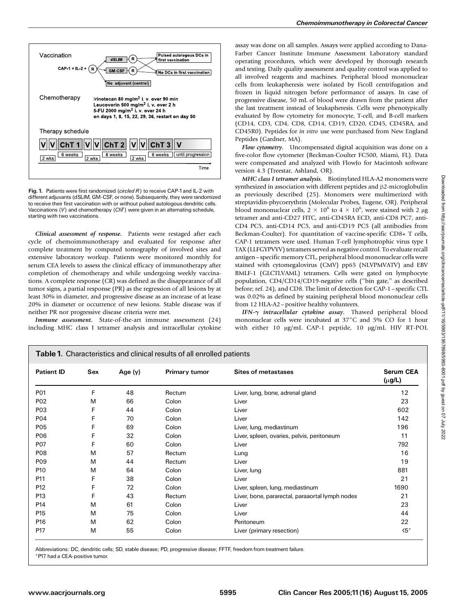

Fig. 1. Patients were first randomized (circled  $R$ ) to receive CAP-1 and IL-2 with different adjuvants (dSLIM, GM-CSF, or none). Subsequently, they were randomized to receive their first vaccination with or without pulsed autologous dendritic cells. Vaccinations  $(V)$  and chemotherapy  $(ChT)$  were given in an alternating schedule, starting with two vaccinations.

Clinical assessment of response. Patients were restaged after each cycle of chemoimmunotherapy and evaluated for response after complete treatment by computed tomography of involved sites and extensive laboratory workup. Patients were monitored monthly for serum CEA levels to assess the clinical efficacy of immunotherapy after completion of chemotherapy and while undergoing weekly vaccinations. A complete response (CR) was defined as the disappearance of all tumor signs, a partial response (PR) as the regression of all lesions by at least 30% in diameter, and progressive disease as an increase of at lease 20% in diameter or occurrence of new lesions. Stable disease was if neither PR nor progressive disease criteria were met.

Immune assessment. State-of-the-art immune assessment (24) including MHC class I tetramer analysis and intracellular cytokine assay was done on all samples. Assays were applied according to Dana-Farber Cancer Institute Immune Assessment Laboratory standard operating procedures, which were developed by thorough research and testing. Daily quality assessment and quality control was applied to all involved reagents and machines. Peripheral blood mononuclear cells from leukapheresis were isolated by Ficoll centrifugation and frozen in liquid nitrogen before performance of assays. In case of progressive disease, 50 mL of blood were drawn from the patient after the last treatment instead of leukapheresis. Cells were phenotypically evaluated by flow cytometry for monocyte, T-cell, and B-cell markers (CD14, CD3, CD4, CD8, CD14, CD19, CD20, CD45, CD45RA, and CD45R0). Peptides for in vitro use were purchased from New England Peptides (Gardner, MA).

Flow cytometry. Uncompensated digital acquisition was done on a five-color flow cytometer (Beckman-Coulter FC500, Miami, FL). Data were compensated and analyzed with FlowJo for Macintosh software version 4.3 (Treestar, Ashland, OR).

MHC class I tetramer analysis. Biotinylated HLA-A2 monomers were synthesized in association with different peptides and  $\beta$ 2-microglobulin as previously described (25). Monomers were multimerized with streptavidin-phycoerythrin (Molecular Probes, Eugene, OR). Peripheral blood mononuclear cells,  $2 \times 10^6$  to  $4 \times 10^6$ , were stained with 2 µg tetramer and anti-CD27 FITC, anti-CD45RA ECD, anti-CD8 PC7, anti-CD4 PC5, anti-CD14 PC5, and anti-CD19 PC5 (all antibodies from Beckman-Coulter). For quantitation of vaccine-specific CD8+ T cells, CAP-1 tetramers were used. Human T-cell lymphotrophic virus type I TAX (LLFGYPVYV) tetramers served as negative control. To evaluate recall antigen–specific memory CTL, peripheral blood mononuclear cells were stained with cytomegalovirus (CMV) pp65 (NLVPMVATV) and EBV BMLF-1 (GLCTLVAML) tetramers. Cells were gated on lymphocyte population, CD4/CD14/CD19-negative cells (''bin gate,'' as described before; ref. 24), and CD8. The limit of detection for CAP-1–specific CTL was 0.02% as defined by staining peripheral blood mononuclear cells from 12 HLA-A2–positive healthy volunteers.

IFN- $\gamma$  intracellular cytokine assay. Thawed peripheral blood mononuclear cells were incubated at  $37^{\circ}$ C and 5% CO for 1 hour with either 10 µg/mL CAP-1 peptide, 10 µg/mL HIV RT-POL

| Table 1. Characteristics and clinical results of all enrolled patients |                                                                        |    |                                 |                                                 |               |  |
|------------------------------------------------------------------------|------------------------------------------------------------------------|----|---------------------------------|-------------------------------------------------|---------------|--|
| <b>Patient ID</b>                                                      | Sex<br><b>Primary tumor</b><br><b>Sites of metastases</b><br>Age $(y)$ |    | <b>Serum CEA</b><br>$(\mu$ g/L) |                                                 |               |  |
| P01                                                                    | F                                                                      | 48 | Rectum                          | Liver, lung, bone, adrenal gland                | 12            |  |
| P <sub>02</sub>                                                        | M                                                                      | 66 | Colon                           | Liver                                           | 23            |  |
| P03                                                                    | F                                                                      | 44 | Colon                           | Liver                                           | 602           |  |
| P04                                                                    | F                                                                      | 70 | Colon                           | Liver                                           | 142           |  |
| P05                                                                    | F                                                                      | 69 | Colon                           | Liver, lung, mediastinum                        | 196           |  |
| P06                                                                    | F                                                                      | 32 | Colon                           | Liver, spleen, ovaries, pelvis, peritoneum      | 11            |  |
| <b>P07</b>                                                             | F                                                                      | 60 | Colon                           | Liver                                           | 792           |  |
| <b>P08</b>                                                             | M                                                                      | 57 | Rectum                          | Lung                                            | 16            |  |
| P <sub>09</sub>                                                        | M                                                                      | 44 | Rectum                          | Liver                                           | 19            |  |
| P <sub>10</sub>                                                        | M                                                                      | 64 | Colon                           | Liver, lung                                     | 881           |  |
| P11                                                                    | F                                                                      | 38 | Colon                           | Liver                                           | 21            |  |
| P <sub>12</sub>                                                        | F                                                                      | 72 | Colon                           | Liver, spleen, lung, mediastinum                | 1690          |  |
| P <sub>13</sub>                                                        | F                                                                      | 43 | Rectum                          | Liver, bone, pararectal, paraaortal lymph nodes | 21            |  |
| P14                                                                    | M                                                                      | 61 | Colon                           | Liver                                           | 23            |  |
| P <sub>15</sub>                                                        | M                                                                      | 75 | Colon                           | Liver                                           | 44            |  |
| P <sub>16</sub>                                                        | M                                                                      | 62 | Colon                           | Peritoneum                                      | 22            |  |
| P <sub>17</sub>                                                        | M                                                                      | 55 | Colon                           | Liver (primary resection)                       | $\langle 5^*$ |  |

Abbreviations: DC, dendritic cells; SD, stable disease; PD, progressive disease; FFTF, freedom from treatment failure.

\*P17 had a CEA-positive tumor.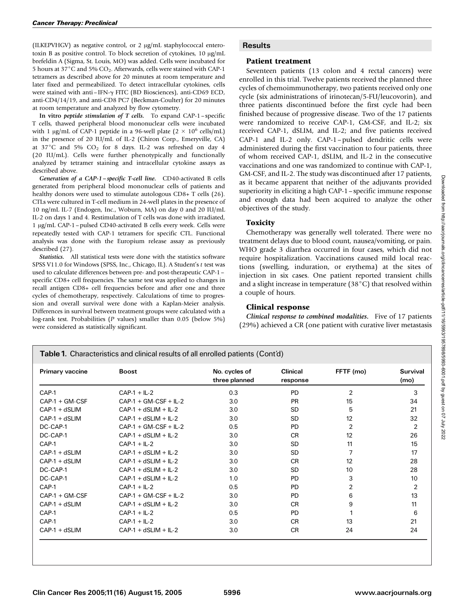(ILKEPVHGV) as negative control, or 2  $\mu$ g/mL staphylococcal enterotoxin B as positive control. To block secretion of cytokines,  $10 \mu g/mL$ brefeldin A (Sigma, St. Louis, MO) was added. Cells were incubated for 5 hours at 37 $\degree$ C and 5% CO<sub>2</sub>. Afterwards, cells were stained with CAP-1 tetramers as described above for 20 minutes at room temperature and later fixed and permeabilized. To detect intracellular cytokines, cells were stained with anti–IFN-g FITC (BD Biosciences), anti-CD69 ECD, anti-CD4/14/19, and anti-CD8 PC7 (Beckman-Coulter) for 20 minutes at room temperature and analyzed by flow cytometry.

In vitro *peptide stimulation of T cells*. To expand  $CAP-1$ –specific T cells, thawed peripheral blood mononuclear cells were incubated with 1  $\mu$ g/mL of CAP-1 peptide in a 96-well plate (2  $\times$  10<sup>6</sup> cells/mL) in the presence of 20 IU/mL of IL-2 (Chiron Corp., Emeryville, CA) at  $37^{\circ}$ C and  $5\%$  CO<sub>2</sub> for 8 days. IL-2 was refreshed on day 4 (20 IU/mL). Cells were further phenotypically and functionally analyzed by tetramer staining and intracellular cytokine assays as described above.

Generation of a CAP-1–specific T-cell line. CD40-activated B cells generated from peripheral blood mononuclear cells of patients and healthy donors were used to stimulate autologous CD8+ T cells (26). CTLs were cultured in T-cell medium in 24-well plates in the presence of 10 ng/mL IL-7 (Endogen, Inc., Woburn, MA) on day 0 and 20 IU/mL IL-2 on days 1 and 4. Restimulation of T cells was done with irradiated, 1 µg/mL CAP-1 - pulsed CD40-activated B cells every week. Cells were repeatedly tested with CAP-1 tetramers for specific CTL. Functional analysis was done with the Europium release assay as previously described (27).

Statistics. All statistical tests were done with the statistics software SPSS V11.0 for Windows (SPSS, Inc., Chicago, IL). A Student's t test was used to calculate differences between pre- and post-therapeutic CAP-1– specific CD8+ cell frequencies. The same test was applied to changes in recall antigen CD8+ cell frequencies before and after one and three cycles of chemotherapy, respectively. Calculations of time to progression and overall survival were done with a Kaplan-Meier analysis. Differences in survival between treatment groups were calculated with a log-rank test. Probabilities (P values) smaller than 0.05 (below 5%) were considered as statistically significant.

# **Results**

# Patient treatment

Seventeen patients (13 colon and 4 rectal cancers) were enrolled in this trial. Twelve patients received the planned three cycles of chemoimmunotherapy, two patients received only one cycle (six administrations of irinotecan/5-FU/leucovorin), and three patients discontinued before the first cycle had been finished because of progressive disease. Two of the 17 patients were randomized to receive CAP-1, GM-CSF, and IL-2; six received CAP-1, dSLIM, and IL-2; and five patients received CAP-1 and IL-2 only. CAP-1–pulsed dendritic cells were administered during the first vaccination to four patients, three of whom received CAP-1, dSLIM, and IL-2 in the consecutive vaccinations and one was randomized to continue with CAP-1, GM-CSF, and IL-2. The study was discontinued after 17 patients, as it became apparent that neither of the adjuvants provided superiority in eliciting a high CAP-1–specific immune response and enough data had been acquired to analyze the other objectives of the study.

# Toxicity

Chemotherapy was generally well tolerated. There were no treatment delays due to blood count, nausea/vomiting, or pain. WHO grade 3 diarrhea occurred in four cases, which did not require hospitalization. Vaccinations caused mild local reactions (swelling, induration, or erythema) at the sites of injection in six cases. One patient reported transient chills and a slight increase in temperature (38 $^{\circ}$ C) that resolved within a couple of hours.

# Clinical response

Clinical response to combined modalities. Five of 17 patients (29%) achieved a CR (one patient with curative liver metastasis

Table 1. Characteristics and clinical results of all enrolled patients (Cont'd)

| Primary vaccine  | <b>Boost</b>            | No. cycles of<br>three planned | <b>Clinical</b><br>response | FFTF (mo)      | <b>Survival</b><br>(mo) |
|------------------|-------------------------|--------------------------------|-----------------------------|----------------|-------------------------|
| CAP-1            | $CAP-1 + IL-2$          | 0.3                            | <b>PD</b>                   | $\overline{2}$ | 3                       |
| $CAP-1 + GM-CSF$ | $CAP-1 + GM-CSF + IL-2$ | 3.0                            | <b>PR</b>                   | 15             | 34                      |
| $CAP-1 + dSLIM$  | $CAP-1 + dSLIM + IL-2$  | 3.0                            | <b>SD</b>                   | 5              | 21                      |
| $CAP-1 + dSLIM$  | $CAP-1 + dSLIM + IL-2$  | 3.0                            | <b>SD</b>                   | 12             | 32                      |
| DC-CAP-1         | $CAP-1 + GM-CSF + IL-2$ | 0.5                            | <b>PD</b>                   | $\overline{2}$ | $\overline{2}$          |
| DC-CAP-1         | $CAP-1 + dSLIM + IL-2$  | 3.0                            | <b>CR</b>                   | 12             | 26                      |
| CAP-1            | $CAP-1 + IL-2$          | 3.0                            | <b>SD</b>                   | 11             | 15                      |
| $CAP-1 + dSLIM$  | $CAP-1 + dSLIM + IL-2$  | 3.0                            | <b>SD</b>                   | 7              | 17                      |
| $CAP-1 + dSLIM$  | $CAP-1 + dSLIM + IL-2$  | 3.0                            | CR.                         | 12             | 28                      |
| DC-CAP-1         | $CAP-1 + dSLIM + IL-2$  | 3.0                            | <b>SD</b>                   | 10             | 28                      |
| DC-CAP-1         | $CAP-1 + dSLIM + IL-2$  | 1.0                            | <b>PD</b>                   | 3              | 10                      |
| CAP-1            | $CAP-1 + IL-2$          | 0.5                            | PD.                         | $\overline{2}$ | $\overline{2}$          |
| $CAP-1 + GM-CSF$ | $CAP-1 + GM-CSF + IL-2$ | 3.0                            | PD.                         | 6              | 13                      |
| $CAP-1 + dSLIM$  | $CAP-1 + dSLIM + IL-2$  | 3.0                            | CR.                         | 9              | 11                      |
| CAP-1            | $CAP-1 + IL-2$          | 0.5                            | <b>PD</b>                   |                | 6                       |
| CAP-1            | $CAP-1 + IL-2$          | 3.0                            | CR.                         | 13             | 21                      |
| $CAP-1 + dSLIM$  | $CAP-1 + dSLIM + IL-2$  | 3.0                            | <b>CR</b>                   | 24             | 24                      |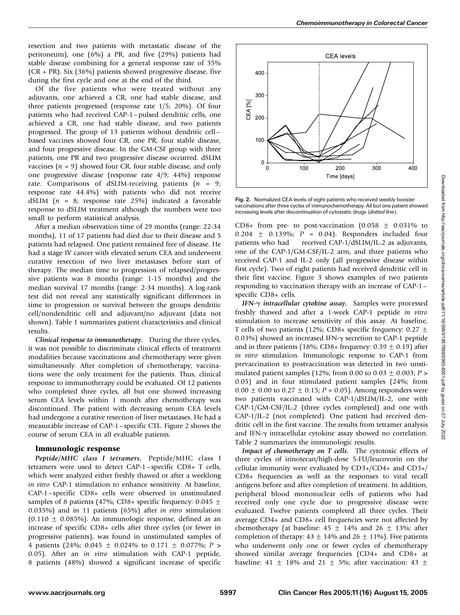Of the five patients who were treated without any adjuvants, one achieved a CR, one had stable disease, and three patients progressed (response rate 1/5; 20%). Of four patients who had received CAP-1–pulsed dendritic cells, one achieved a CR, one had stable disease, and two patients progressed. The group of 13 patients without dendritic cell– based vaccines showed four CR, one PR, four stable disease, and four progressive disease. In the GM-CSF group with three patients, one PR and two progressive disease occurred. dSLIM vaccines ( $n = 9$ ) showed four CR, four stable disease, and only one progressive disease (response rate 4/9; 44%) response rate. Comparisons of dSLIM-receiving patients  $(n = 9;$ response rate 44.4%) with patients who did not receive dSLIM ( $n = 8$ ; response rate 25%) indicated a favorable response to dSLIM treatment although the numbers were too small to perform statistical analysis.

After a median observation time of 29 months (range: 22-34 months), 11 of 17 patients had died due to their disease and 5 patients had relapsed. One patient remained free of disease. He had a stage IV cancer with elevated serum CEA and underwent curative resection of two liver metastases before start of therapy. The median time to progression of relapsed/progressive patients was 8 months (range: 1-15 months) and the median survival 17 months (range: 2-34 months). A log-rank test did not reveal any statistically significant differences in time to progression or survival between the groups dendritic cell/nondendritic cell and adjuvant/no adjuvant (data not shown). Table 1 summarizes patient characteristics and clinical results.

Clinical response to immunotherapy. During the three cycles, it was not possible to discriminate clinical effects of treatment modalities because vaccinations and chemotherapy were given simultaneously. After completion of chemotherapy, vaccinations were the only treatment for the patients. Thus, clinical response to immunotherapy could be evaluated. Of 12 patients who completed three cycles, all but one showed increasing serum CEA levels within 1 month after chemotherapy was discontinued. The patient with decreasing serum CEA levels had undergone a curative resection of liver metastases. He had a measurable increase of CAP-1–specific CTL. Figure 2 shows the course of serum CEA in all evaluable patients.

## Immunologic response

Peptide/MHC class I tetramers. Peptide/MHC class I tetramers were used to detect CAP-1–specific CD8+ T cells, which were analyzed either freshly thawed or after a weeklong in vitro CAP-1 stimulation to enhance sensitivity. At baseline, CAP-1–specific CD8+ cells were observed in unstimulated samples of 8 patients (47%; CD8+ specific frequency: 0.045  $\pm$ 0.035%) and in 11 patients (65%) after in vitro stimulation  $(0.110 \pm 0.085\%)$ . An immunologic response, defined as an increase of specific CD8+ cells after three cycles (or fewer in progressive patients), was found in unstimulated samples of 4 patients (24%; 0.045  $\pm$  0.024% to 0.171  $\pm$  0.077%; P > 0.05). After an in vitro stimulation with CAP-1 peptide, 8 patients (48%) showed a significant increase of specific



Fig. 2. Normalized CEA levels of eight patients who received weekly booster vaccinations after three cycles of immunochemotherapy. All but one patient showed increasing levels after discontinuation of cytostatic drugs (dotted line).

CD8+ from pre- to post-vaccination (0.058  $\pm$  0.031% to  $0.204 \pm 0.139\%$ ;  $P = 0.04$ ). Responders included four patients who had received CAP-1/dSLIM/IL-2 as adjuvants, one of the CAP-1/GM-CSF/IL-2 arm, and three patients who received CAP-1 and IL-2 only (all progressive disease within first cycle). Two of eight patients had received dendritic cell in their first vaccine. Figure 3 shows examples of two patients responding to vaccination therapy with an increase of CAP-1– specific CD8+ cells.

IFN- $\gamma$  intracellular cytokine assay. Samples were processed freshly thawed and after a 1-week CAP-1 peptide in vitro stimulation to increase sensitivity of this assay. At baseline, T cells of two patients (12%; CD8+ specific frequency:  $0.27 \pm$ 0.03%) showed an increased IFN-g secretion to CAP-1 peptide and in three patients (18%; CD8+ frequency:  $0.39 \pm 0.19$ ) after in vitro stimulation. Immunologic response to CAP-1 from prevaccination to postvaccination was detected in two unstimulated patient samples (12%; from 0.00 to 0.03  $\pm$  0.003; P > 0.05) and in four stimulated patient samples (24%; from  $0.00 \pm 0.00$  to  $0.27 \pm 0.15$ ;  $P = 0.05$ ). Among responders were two patients vaccinated with CAP-1/dSLIM/IL-2, one with CAP-1/GM-CSF/IL-2 (three cycles completed) and one with CAP-1/IL-2 (not completed). One patient had received dendritic cell in the first vaccine. The results from tetramer analysis and IFN- $\gamma$  intracellular cytokine assay showed no correlation. Table 2 summarizes the immunologic results.

Impact of chemotherapy on T cells. The cytotoxic effects of three cycles of irinotecan/high-dose 5-FU/leucovorin on the cellular immunity were evaluated by CD3+/CD4+ and CD3+/ CD8+ frequencies as well as the responses to viral recall antigens before and after completion of treatment. In addition, peripheral blood mononuclear cells of patients who had received only one cycle due to progressive disease were evaluated. Twelve patients completed all three cycles. Their average CD4+ and CD8+ cell frequencies were not affected by chemotherapy (at baseline:  $45 \pm 14\%$  and  $26 \pm 13\%$ ; after completion of therapy:  $43 \pm 14\%$  and  $26 \pm 11\%$ ). Five patients who underwent only one or fewer cycles of chemotherapy showed similar average frequencies (CD4+ and CD8+ at baseline: 41  $\pm$  18% and 21  $\pm$  5%; after vaccination: 43  $\pm$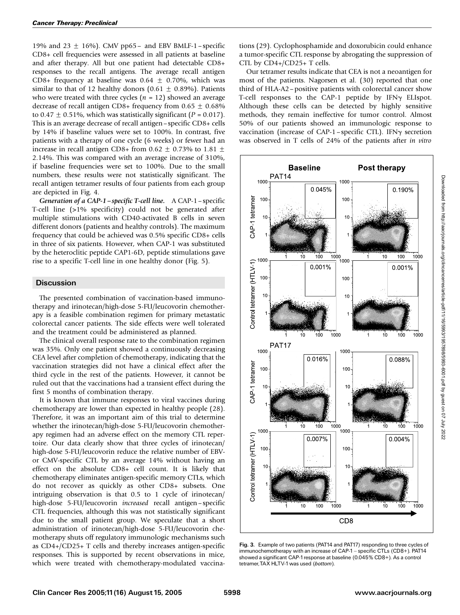19% and 23  $\pm$  16%). CMV pp65– and EBV BMLF-1–specific CD8+ cell frequencies were assessed in all patients at baseline and after therapy. All but one patient had detectable CD8+ responses to the recall antigens. The average recall antigen CD8+ frequency at baseline was  $0.64 \pm 0.70\%$ , which was similar to that of 12 healthy donors (0.61  $\pm$  0.89%). Patients who were treated with three cycles ( $n = 12$ ) showed an average decrease of recall antigen CD8+ frequency from  $0.65 \pm 0.68\%$ to 0.47  $\pm$  0.51%, which was statistically significant (P = 0.017). This is an average decrease of recall antigen–specific CD8+ cells by 14% if baseline values were set to 100%. In contrast, five patients with a therapy of one cycle (6 weeks) or fewer had an increase in recall antigen CD8+ from 0.62  $\pm$  0.73% to 1.81  $\pm$ 2.14%. This was compared with an average increase of 310%, if baseline frequencies were set to 100%. Due to the small numbers, these results were not statistically significant. The recall antigen tetramer results of four patients from each group are depicted in Fig. 4.

Generation of a CAP-1–specific T-cell line. A CAP-1–specific T-cell line (>1% specificity) could not be generated after multiple stimulations with CD40-activated B cells in seven different donors (patients and healthy controls). The maximum frequency that could be achieved was 0.5% specific CD8+ cells in three of six patients. However, when CAP-1 was substituted by the heteroclitic peptide CAP1-6D, peptide stimulations gave rise to a specific T-cell line in one healthy donor (Fig. 5).

#### **Discussion**

The presented combination of vaccination-based immunotherapy and irinotecan/high-dose 5-FU/leucovorin chemotherapy is a feasible combination regimen for primary metastatic colorectal cancer patients. The side effects were well tolerated and the treatment could be administered as planned.

The clinical overall response rate to the combination regimen was 35%. Only one patient showed a continuously decreasing CEA level after completion of chemotherapy, indicating that the vaccination strategies did not have a clinical effect after the third cycle in the rest of the patients. However, it cannot be ruled out that the vaccinations had a transient effect during the first 5 months of combination therapy.

It is known that immune responses to viral vaccines during chemotherapy are lower than expected in healthy people (28). Therefore, it was an important aim of this trial to determine whether the irinotecan/high-dose 5-FU/leucovorin chemotherapy regimen had an adverse effect on the memory CTL repertoire. Our data clearly show that three cycles of irinotecan/ high-dose 5-FU/leucovorin reduce the relative number of EBVor CMV-specific CTL by an average 14% without having an effect on the absolute CD8+ cell count. It is likely that chemotherapy eliminates antigen-specific memory CTLs, which do not recover as quickly as other CD8+ subsets. One intriguing observation is that 0.5 to 1 cycle of irinotecan/ high-dose 5-FU/leucovorin increased recall antigen–specific CTL frequencies, although this was not statistically significant due to the small patient group. We speculate that a short administration of irinotecan/high-dose 5-FU/leucovorin chemotherapy shuts off regulatory immunologic mechanisms such as CD4+/CD25+ T cells and thereby increases antigen-specific responses. This is supported by recent observations in mice, which were treated with chemotherapy-modulated vaccinations (29). Cyclophosphamide and doxorubicin could enhance a tumor-specific CTL response by abrogating the suppression of CTL by CD4+/CD25+ T cells.

Our tetramer results indicate that CEA is not a neoantigen for most of the patients. Nagorsen et al. (30) reported that one third of HLA-A2–positive patients with colorectal cancer show T-cell responses to the CAP-1 peptide by  $IFN\gamma$  ELIspot. Although these cells can be detected by highly sensitive methods, they remain ineffective for tumor control. Almost 50% of our patients showed an immunologic response to vaccination (increase of CAP-1 - specific CTL). IFN $\gamma$  secretion was observed in T cells of 24% of the patients after in vitro



Fig. 3. Example of two patients (PAT14 and PAT17) responding to three cycles of immunochemotherapy with an increase of CAP-1 - specific CTLs (CD8+). PAT14 showed a significant CAP-1 response at baseline (0.045% CD8+). As a control tetramer, TAX HLTV-1 was used (bottom).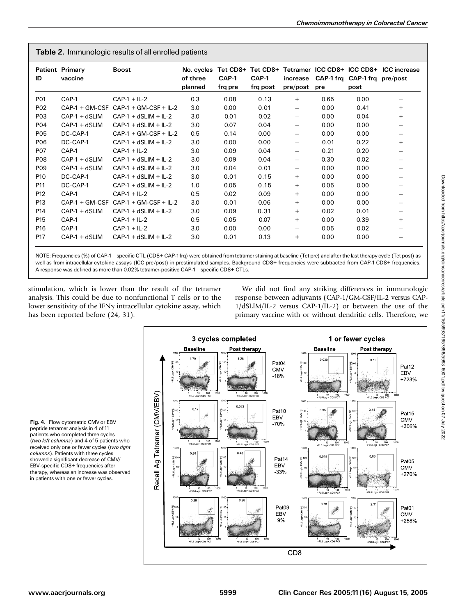| Table 2. Immunologic results of all enrolled patients |  |  |  |  |  |  |
|-------------------------------------------------------|--|--|--|--|--|--|
|-------------------------------------------------------|--|--|--|--|--|--|

| ID               | <b>Patient Primary</b><br>vaccine | <b>Boost</b>            | No. cycles<br>of three<br>planned | CAP-1<br>frq pre | CAP-1<br>frq post | increase<br>pre/post     | pre  | CAP-1 frg CAP-1 frg pre/post<br>post | Tet CD8+ Tet CD8+ Tetramer ICC CD8+ ICC CD8+ ICC increase |
|------------------|-----------------------------------|-------------------------|-----------------------------------|------------------|-------------------|--------------------------|------|--------------------------------------|-----------------------------------------------------------|
| P01              | CAP-1                             | $CAP-1 + IL-2$          | 0.3                               | 0.08             | 0.13              | $+$                      | 0.65 | 0.00                                 |                                                           |
| P <sub>02</sub>  | $CAP-1 + GM-CSF$                  | $CAP-1 + GM-CSF + IL-2$ | 3.0                               | 0.00             | 0.01              | $\qquad \qquad -$        | 0.00 | 0.41                                 | $+$                                                       |
| P <sub>0</sub> 3 | $CAP-1 + dSLIM$                   | $CAP-1 + dSLIM + IL-2$  | 3.0                               | 0.01             | 0.02              | $\qquad \qquad -$        | 0.00 | 0.04                                 | $+$                                                       |
| P04              | $CAP-1 + dSLIM$                   | $CAP-1 + dSLIM + IL-2$  | 3.0                               | 0.07             | 0.04              |                          | 0.00 | 0.00                                 |                                                           |
| P05              | DC-CAP-1                          | $CAP-1 + GM-CSF + IL-2$ | 0.5                               | 0.14             | 0.00              | $\overline{\phantom{0}}$ | 0.00 | 0.00                                 | $\qquad \qquad -$                                         |
| <b>P06</b>       | DC-CAP-1                          | $CAP-1 + dSLIM + IL-2$  | 3.0                               | 0.00             | 0.00              | $\qquad \qquad -$        | 0.01 | 0.22                                 | $+$                                                       |
| <b>P07</b>       | CAP-1                             | $CAP-1 + IL-2$          | 3.0                               | 0.09             | 0.04              | $\qquad \qquad -$        | 0.21 | 0.20                                 | —                                                         |
| <b>P08</b>       | $CAP-1 + dSLIM$                   | $CAP-1 + dSLIM + IL-2$  | 3.0                               | 0.09             | 0.04              | $\qquad \qquad -$        | 0.30 | 0.02                                 |                                                           |
| P <sub>09</sub>  | $CAP-1 + dSLIM$                   | $CAP-1 + dSLIM + IL-2$  | 3.0                               | 0.04             | 0.01              | $\qquad \qquad -$        | 0.00 | 0.00                                 |                                                           |
| P <sub>10</sub>  | DC-CAP-1                          | $CAP-1 + dSLIM + IL-2$  | 3.0                               | 0.01             | 0.15              | $^{+}$                   | 0.00 | 0.00                                 |                                                           |
| P11              | DC-CAP-1                          | $CAP-1 + dSLIM + IL-2$  | 1.0                               | 0.05             | 0.15              | $^{+}$                   | 0.05 | 0.00                                 | —                                                         |
| P <sub>12</sub>  | CAP-1                             | $CAP-1 + IL-2$          | 0.5                               | 0.02             | 0.09              | $+$                      | 0.00 | 0.00                                 | $\qquad \qquad$                                           |
| P <sub>13</sub>  | $CAP-1 + GM-CSF$                  | $CAP-1 + GM-CSF + IL-2$ | 3.0                               | 0.01             | 0.06              | $+$                      | 0.00 | 0.00                                 |                                                           |
| P <sub>14</sub>  | $CAP-1 + dSLIM$                   | $CAP-1 + dSLIM + IL-2$  | 3.0                               | 0.09             | 0.31              | $+$                      | 0.02 | 0.01                                 | $\qquad \qquad -$                                         |
| P <sub>15</sub>  | CAP-1                             | $CAP-1 + IL-2$          | 0.5                               | 0.05             | 0.07              | $+$                      | 0.00 | 0.39                                 | $^{+}$                                                    |
| P <sub>16</sub>  | CAP-1                             | $CAP-1 + IL-2$          | 3.0                               | 0.00             | 0.00              | $\qquad \qquad$          | 0.05 | 0.02                                 |                                                           |
| P17              | $CAP-1 + dSLIM$                   | $CAP-1 + dSLIM + IL-2$  | 3.0                               | 0.01             | 0.13              | $^{+}$                   | 0.00 | 0.00                                 |                                                           |

NOTE: Frequencies (%) of CAP-1 - specific CTL (CD8+ CAP-1frq) were obtained from tetramer staining at baseline (Tet pre) and after the last therapy cycle (Tet post) as well as from intracellular cytokine assays (ICC pre/post) in prestimulated samples. Background CD8+ frequencies were subtracted from CAP-1 CD8+ frequencies. A response was defined as more than 0.02% tetramer-positive CAP-1 - specific CD8+ CTLs.

stimulation, which is lower than the result of the tetramer analysis. This could be due to nonfunctional T cells or to the lower sensitivity of the IFN<sub>Y</sub> intracellular cytokine assay, which has been reported before (24, 31).

We did not find any striking differences in immunologic response between adjuvants (CAP-1/GM-CSF/IL-2 versus CAP-1/dSLIM/IL-2 versus CAP-1/IL-2) or between the use of the primary vaccine with or without dendritic cells. Therefore, we

Fig. 4. Flow cytometric CMV or EBV peptide tetramer analysis in 4 of 11 patients who completed three cycles (two left columns) and 4 of 5 patients who received only one or fewer cycles (two right columns). Patients with three cycles showed a significant decrease of CMV/ EBV-specific CD8+ frequencies after therapy, whereas an increase was observed in patients with one or fewer cycles.

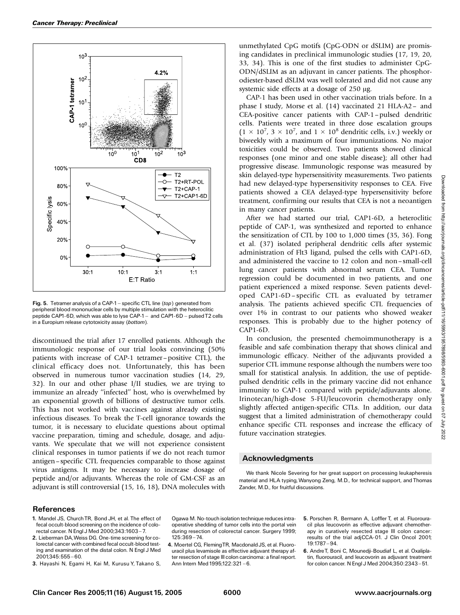

Fig. 5. Tetramer analysis of a CAP-1 - specific CTL line (top) generated from peripheral blood mononuclear cells by multiple stimulation with the heteroclitic peptide CAP1-6D, which was able to lyse CAP-1 - and CAP1-6D - pulsed T2 cells in a Europium release cytotoxicity assay (bottom).

discontinued the trial after 17 enrolled patients. Although the immunologic response of our trial looks convincing (50% patients with increase of CAP-1 tetramer–positive CTL), the clinical efficacy does not. Unfortunately, this has been observed in numerous tumor vaccination studies (14, 29, 32). In our and other phase I/II studies, we are trying to immunize an already ''infected'' host, who is overwhelmed by an exponential growth of billions of destructive tumor cells. This has not worked with vaccines against already existing infectious diseases. To break the T-cell ignorance towards the tumor, it is necessary to elucidate questions about optimal vaccine preparation, timing and schedule, dosage, and adjuvants. We speculate that we will not experience consistent clinical responses in tumor patients if we do not reach tumor antigen–specific CTL frequencies comparable to those against virus antigens. It may be necessary to increase dosage of peptide and/or adjuvants. Whereas the role of GM-CSF as an adjuvant is still controversial (15, 16, 18), DNA molecules with unmethylated CpG motifs (CpG-ODN or dSLIM) are promising candidates in preclinical immunologic studies (17, 19, 20, 33, 34). This is one of the first studies to administer CpG-ODN/dSLIM as an adjuvant in cancer patients. The phosphorodiester-based dSLIM was well tolerated and did not cause any systemic side effects at a dosage of  $250 \mu g$ .

CAP-1 has been used in other vaccination trials before. In a phase I study, Morse et al. (14) vaccinated 21 HLA-A2– and CEA-positive cancer patients with CAP-1–pulsed dendritic cells. Patients were treated in three dose escalation groups  $(1 \times 10^7, 3 \times 10^7, \text{ and } 1 \times 10^8 \text{ dendritic cells, i.v.) weekly or}$ biweekly with a maximum of four immunizations. No major toxicities could be observed. Two patients showed clinical responses (one minor and one stable disease); all other had progressive disease. Immunologic response was measured by skin delayed-type hypersensitivity measurements. Two patients had new delayed-type hypersensitivity responses to CEA. Five patients showed a CEA delayed-type hypersensitivity before treatment, confirming our results that CEA is not a neoantigen in many cancer patients.

After we had started our trial, CAP1-6D, a heteroclitic peptide of CAP-1, was synthesized and reported to enhance the sensitization of CTL by 100 to 1,000 times (35, 36). Fong et al. (37) isolated peripheral dendritic cells after systemic administration of Flt3 ligand, pulsed the cells with CAP1-6D, and administered the vaccine to 12 colon and non–small-cell lung cancer patients with abnormal serum CEA. Tumor regression could be documented in two patients, and one patient experienced a mixed response. Seven patients developed CAP1-6D–specific CTL as evaluated by tetramer analysis. The patients achieved specific CTL frequencies of over 1% in contrast to our patients who showed weaker responses. This is probably due to the higher potency of CAP1-6D.

In conclusion, the presented chemoimmunotherapy is a feasible and safe combination therapy that shows clinical and immunologic efficacy. Neither of the adjuvants provided a superior CTL immune response although the numbers were too small for statistical analysis. In addition, the use of peptidepulsed dendritic cells in the primary vaccine did not enhance immunity to CAP-1 compared with peptide/adjuvants alone. Irinotecan/high-dose 5-FU/leucovorin chemotherapy only slightly affected antigen-specific CTLs. In addition, our data suggest that a limited administration of chemotherapy could enhance specific CTL responses and increase the efficacy of future vaccination strategies.

### Acknowledgments

We thank Nicole Severing for her great support on processing leukapheresis material and HLA typing,Wanyong Zeng, M.D., for technical support, and Thomas Zander, M.D., for fruitful discussions.

### References

- 1. Mandel JS, Church TR, Bond JH, et al. The effect of fecal occult-blood screening on the incidence of colorectal cancer. N Engl J Med 2000;343:1603-7.
- 2. Lieberman DA,Weiss DG. One-time screening for colorectal cancer with combined fecal occult-blood testing and examination of the distal colon. N Engl J Med 2001;345:555 ^ 60.
- 3. Hayashi N, Egami H, Kai M, Kurusu Y, Takano S,

Ogawa M. No-touch isolation technique reduces intraoperative shedding of tumor cells into the portal vein during resection of colorectal cancer. Surgery 1999;  $125:369 - 74.$ 

- 4. Moertel CG, FlemingTR, Macdonald JS, et al. Fluorouracil plus levamisole as effective adjuvant therapy after resection of stage III colon carcinoma: a final report. Ann Intern Med 1995;122:321-6.
- 5. Porschen R, Bermann A, Loffler T, et al. Fluorouracil plus leucovorin as effective adjuvant chemotherapy in curatively resected stage III colon cancer: results of the trial adjCCA-01. J Clin Oncol 2001;  $19.1787 - 94.$
- 6. AndreT, Boni C, Mounedji-Boudiaf L, et al. Oxaliplatin, fluorouracil, and leucovorin as adjuvant treatment for colon cancer. N Engl J Med 2004;350:2343-51.